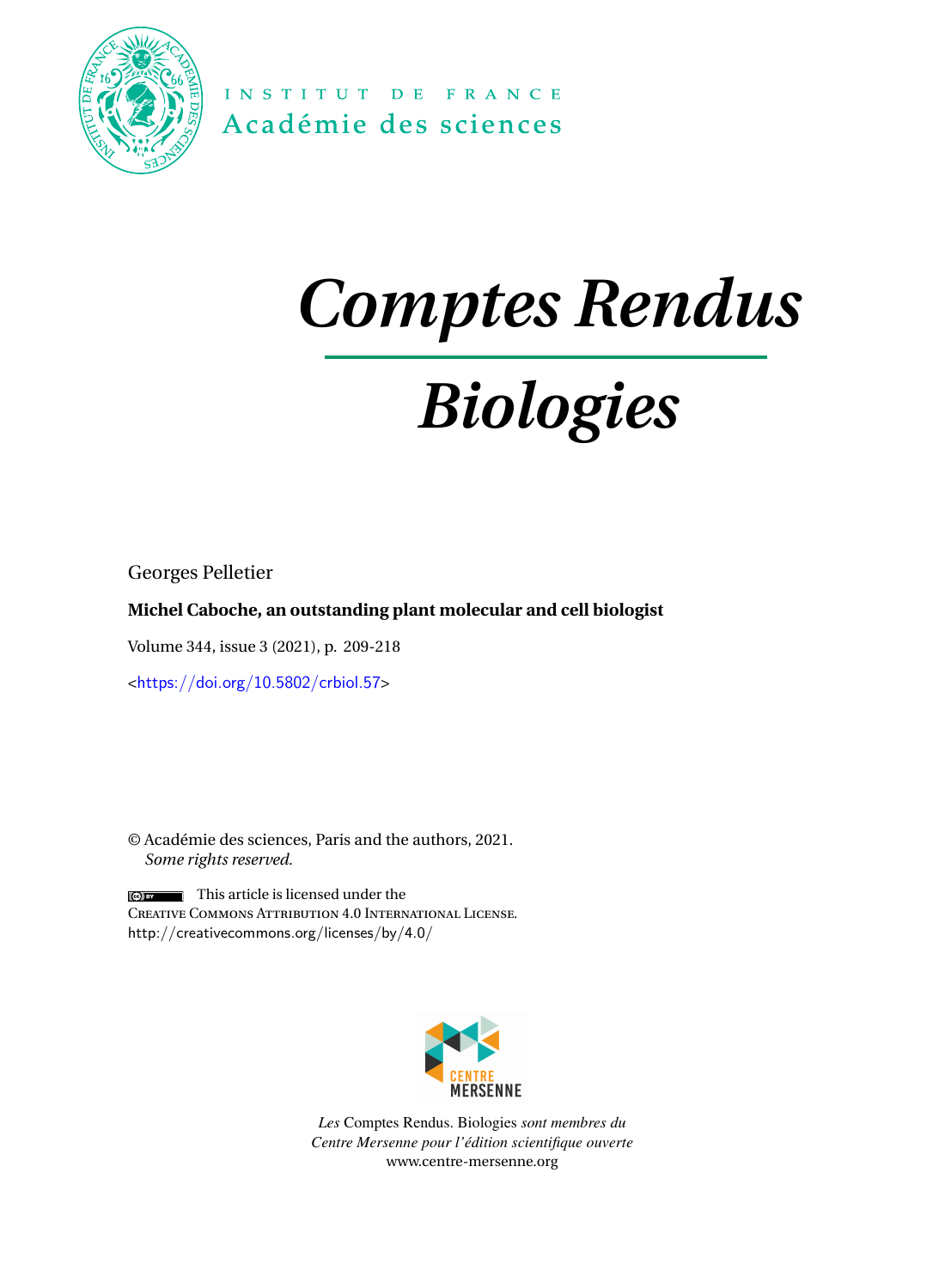

INSTITUT DE FRANCE Académie des sciences

## *Comptes Rendus*

# *Biologies*

Georges Pelletier

### **Michel Caboche, an outstanding plant molecular and cell biologist**

Volume 344, issue 3 (2021), p. 209-218

<<https://doi.org/10.5802/crbiol.57>>

© Académie des sciences, Paris and the authors, 2021. *Some rights reserved.*

 $\left[\begin{array}{cc} \bullet \\ \bullet \end{array}\right]$  This article is licensed under the Creative Commons Attribution 4.0 International License. <http://creativecommons.org/licenses/by/4.0/>



*Les* Comptes Rendus. Biologies *sont membres du Centre Mersenne pour l'édition scientifique ouverte* [www.centre-mersenne.org](https://www.centre-mersenne.org)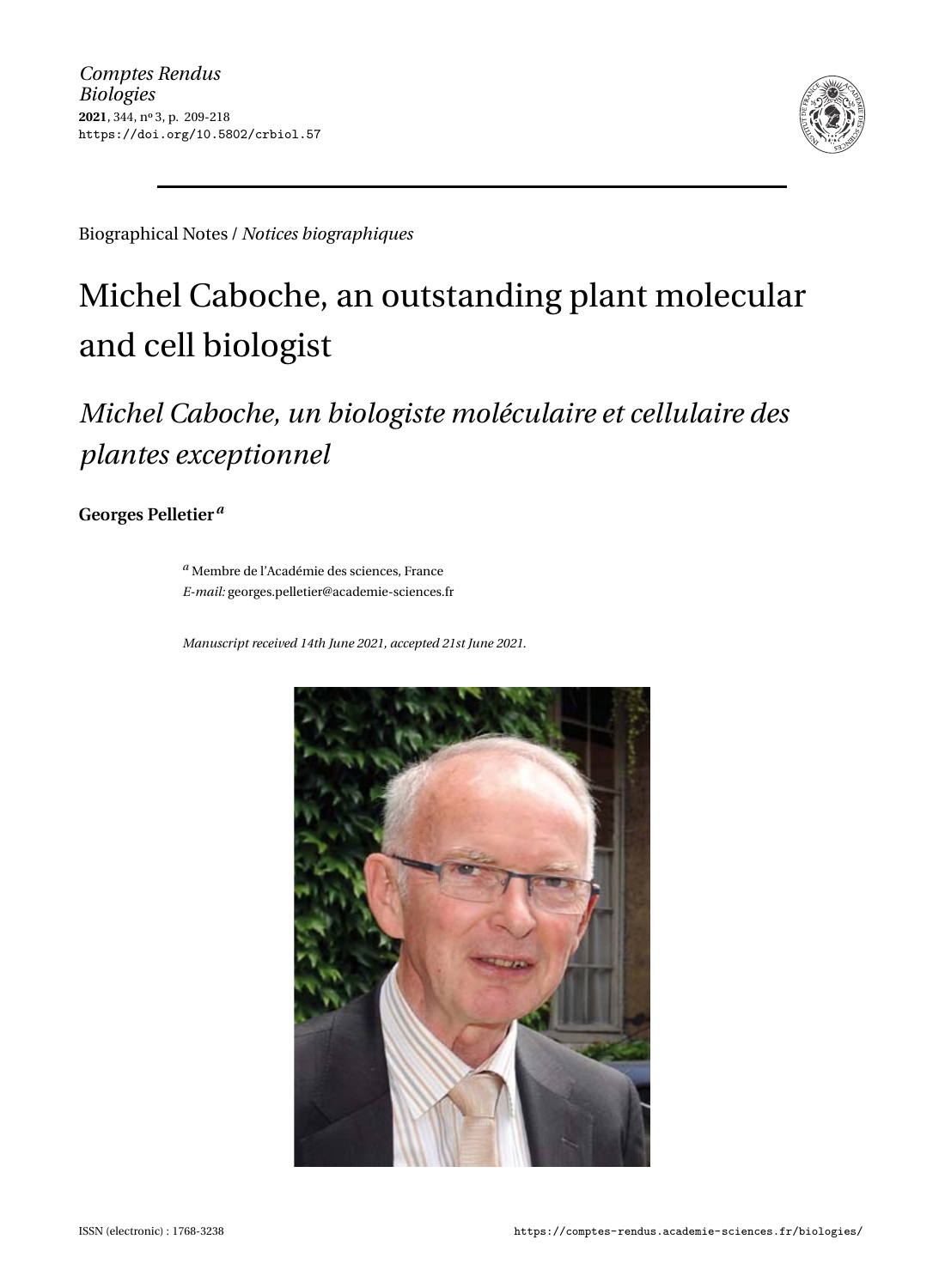

Biographical Notes / *Notices biographiques*

## Michel Caboche, an outstanding plant molecular and cell biologist

### *Michel Caboche, un biologiste moléculaire et cellulaire des plantes exceptionnel*

**Georges Pelletier***<sup>a</sup>*

*<sup>a</sup>* Membre de l'Académie des sciences, France *E-mail:* [georges.pelletier@academie-sciences.fr](mailto:georges.pelletier@academie-sciences.fr)

*Manuscript received 14th June 2021, accepted 21st June 2021.*

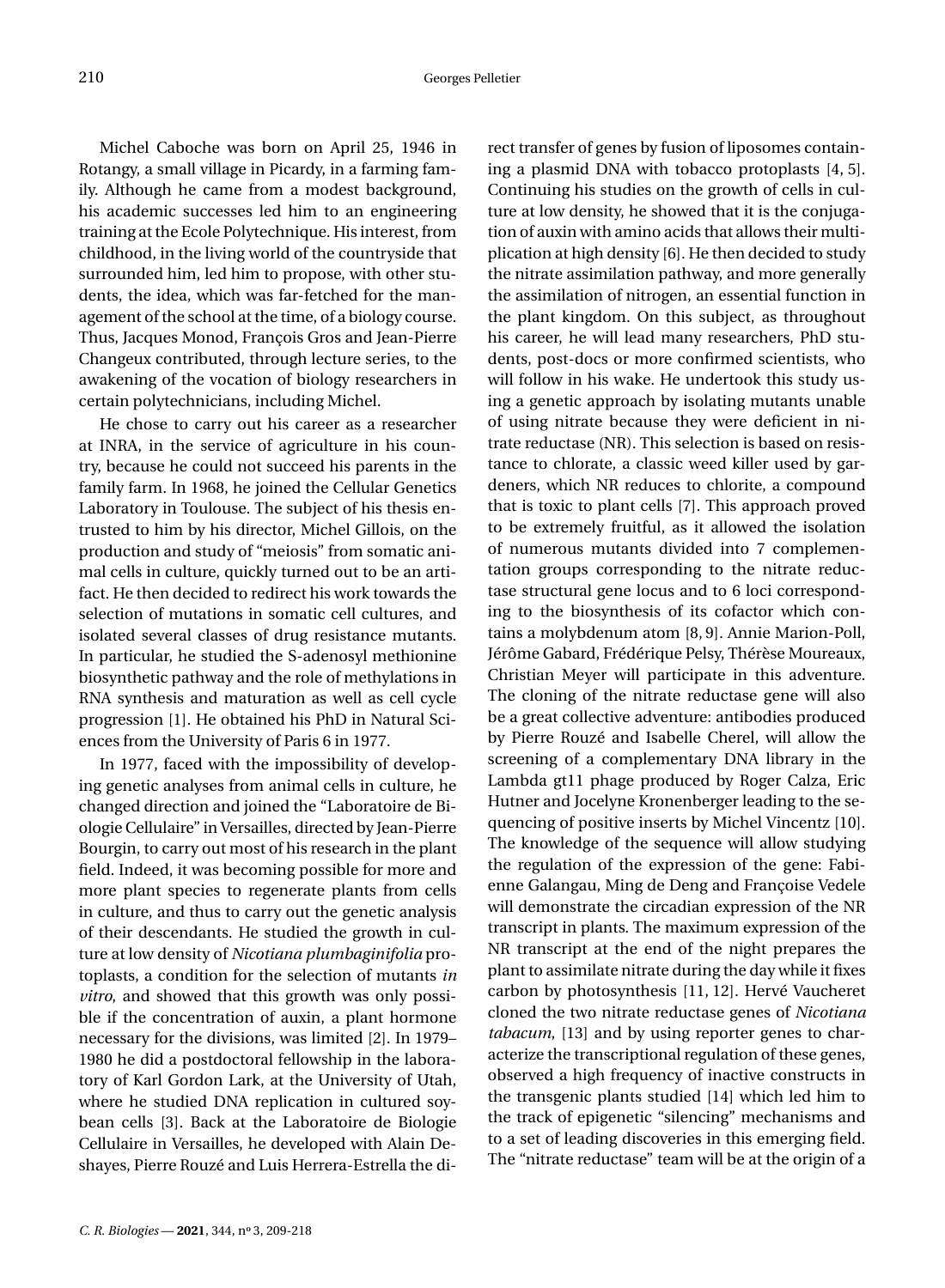Michel Caboche was born on April 25, 1946 in Rotangy, a small village in Picardy, in a farming family. Although he came from a modest background, his academic successes led him to an engineering training at the Ecole Polytechnique. His interest, from childhood, in the living world of the countryside that surrounded him, led him to propose, with other students, the idea, which was far-fetched for the management of the school at the time, of a biology course. Thus, Jacques Monod, François Gros and Jean-Pierre Changeux contributed, through lecture series, to the awakening of the vocation of biology researchers in certain polytechnicians, including Michel.

He chose to carry out his career as a researcher at INRA, in the service of agriculture in his country, because he could not succeed his parents in the family farm. In 1968, he joined the Cellular Genetics Laboratory in Toulouse. The subject of his thesis entrusted to him by his director, Michel Gillois, on the production and study of "meiosis" from somatic animal cells in culture, quickly turned out to be an artifact. He then decided to redirect his work towards the selection of mutations in somatic cell cultures, and isolated several classes of drug resistance mutants. In particular, he studied the S-adenosyl methionine biosynthetic pathway and the role of methylations in RNA synthesis and maturation as well as cell cycle progression [\[1\]](#page-8-0). He obtained his PhD in Natural Sciences from the University of Paris 6 in 1977.

In 1977, faced with the impossibility of developing genetic analyses from animal cells in culture, he changed direction and joined the "Laboratoire de Biologie Cellulaire" in Versailles, directed by Jean-Pierre Bourgin, to carry out most of his research in the plant field. Indeed, it was becoming possible for more and more plant species to regenerate plants from cells in culture, and thus to carry out the genetic analysis of their descendants. He studied the growth in culture at low density of *Nicotiana plumbaginifolia* protoplasts, a condition for the selection of mutants *in vitro*, and showed that this growth was only possible if the concentration of auxin, a plant hormone necessary for the divisions, was limited [\[2\]](#page-8-1). In 1979– 1980 he did a postdoctoral fellowship in the laboratory of Karl Gordon Lark, at the University of Utah, where he studied DNA replication in cultured soybean cells [\[3\]](#page-8-2). Back at the Laboratoire de Biologie Cellulaire in Versailles, he developed with Alain Deshayes, Pierre Rouzé and Luis Herrera-Estrella the di-

*C. R. Biologies* - 2021, 344, nº 3, 209-218

rect transfer of genes by fusion of liposomes containing a plasmid DNA with tobacco protoplasts [\[4,](#page-8-3) [5\]](#page-8-4). Continuing his studies on the growth of cells in culture at low density, he showed that it is the conjugation of auxin with amino acids that allows their multiplication at high density [\[6\]](#page-8-5). He then decided to study the nitrate assimilation pathway, and more generally the assimilation of nitrogen, an essential function in the plant kingdom. On this subject, as throughout his career, he will lead many researchers, PhD students, post-docs or more confirmed scientists, who will follow in his wake. He undertook this study using a genetic approach by isolating mutants unable of using nitrate because they were deficient in nitrate reductase (NR). This selection is based on resistance to chlorate, a classic weed killer used by gardeners, which NR reduces to chlorite, a compound that is toxic to plant cells [\[7\]](#page-8-6). This approach proved to be extremely fruitful, as it allowed the isolation of numerous mutants divided into 7 complementation groups corresponding to the nitrate reductase structural gene locus and to 6 loci corresponding to the biosynthesis of its cofactor which contains a molybdenum atom [\[8,](#page-8-7) [9\]](#page-9-0). Annie Marion-Poll, Jérôme Gabard, Frédérique Pelsy, Thérèse Moureaux, Christian Meyer will participate in this adventure. The cloning of the nitrate reductase gene will also be a great collective adventure: antibodies produced by Pierre Rouzé and Isabelle Cherel, will allow the screening of a complementary DNA library in the Lambda gt11 phage produced by Roger Calza, Eric Hutner and Jocelyne Kronenberger leading to the sequencing of positive inserts by Michel Vincentz [\[10\]](#page-9-1). The knowledge of the sequence will allow studying the regulation of the expression of the gene: Fabienne Galangau, Ming de Deng and Françoise Vedele will demonstrate the circadian expression of the NR transcript in plants. The maximum expression of the NR transcript at the end of the night prepares the plant to assimilate nitrate during the day while it fixes carbon by photosynthesis [\[11,](#page-9-2) [12\]](#page-9-3). Hervé Vaucheret cloned the two nitrate reductase genes of *Nicotiana tabacum*, [\[13\]](#page-9-4) and by using reporter genes to characterize the transcriptional regulation of these genes, observed a high frequency of inactive constructs in the transgenic plants studied [\[14\]](#page-9-5) which led him to the track of epigenetic "silencing" mechanisms and to a set of leading discoveries in this emerging field. The "nitrate reductase" team will be at the origin of a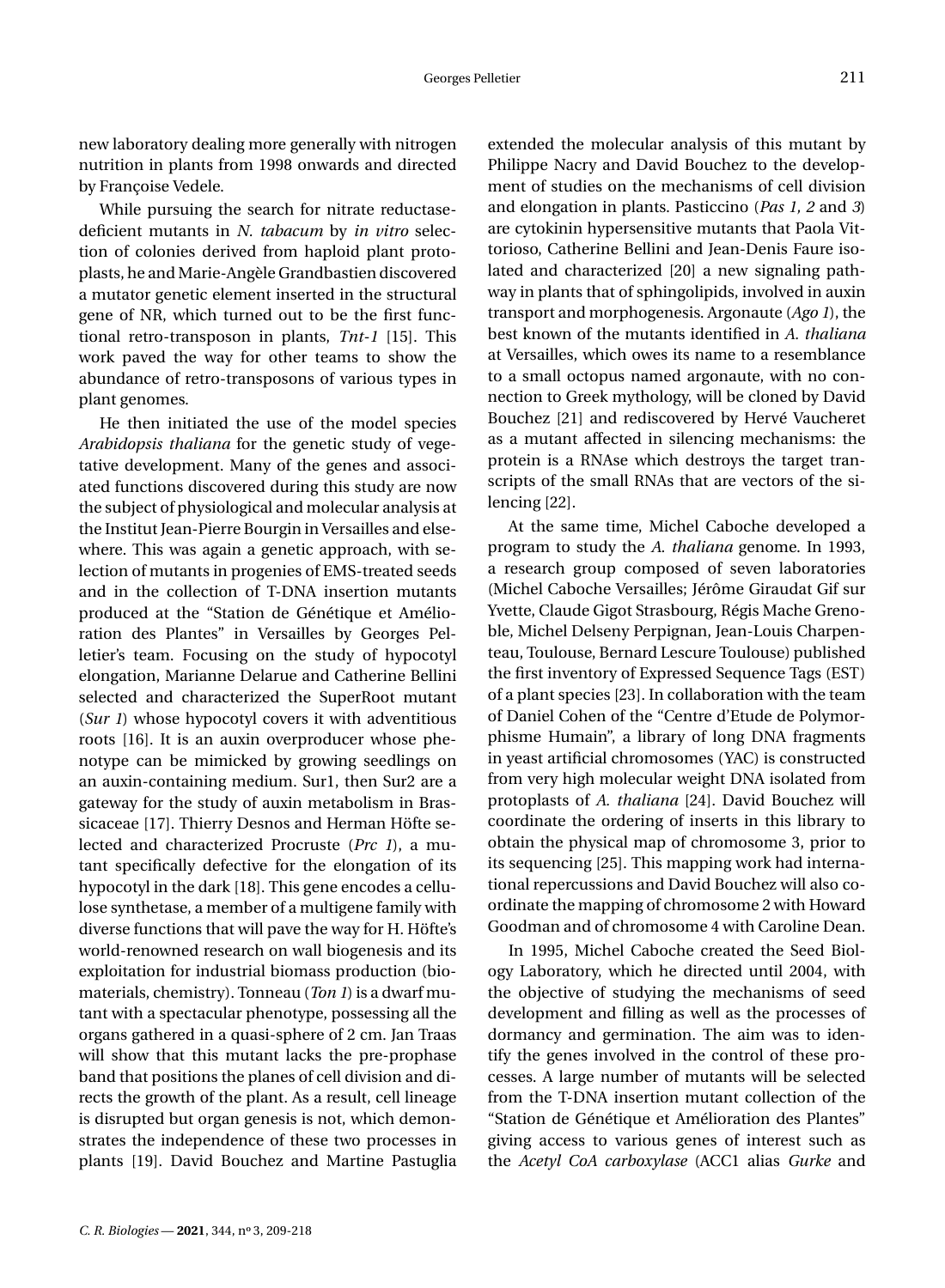new laboratory dealing more generally with nitrogen nutrition in plants from 1998 onwards and directed by Françoise Vedele.

While pursuing the search for nitrate reductasedeficient mutants in *N. tabacum* by *in vitro* selection of colonies derived from haploid plant protoplasts, he and Marie-Angèle Grandbastien discovered a mutator genetic element inserted in the structural gene of NR, which turned out to be the first functional retro-transposon in plants, *Tnt-1* [\[15\]](#page-9-6). This work paved the way for other teams to show the abundance of retro-transposons of various types in plant genomes.

He then initiated the use of the model species *Arabidopsis thaliana* for the genetic study of vegetative development. Many of the genes and associated functions discovered during this study are now the subject of physiological and molecular analysis at the Institut Jean-Pierre Bourgin in Versailles and elsewhere. This was again a genetic approach, with selection of mutants in progenies of EMS-treated seeds and in the collection of T-DNA insertion mutants produced at the "Station de Génétique et Amélioration des Plantes" in Versailles by Georges Pelletier's team. Focusing on the study of hypocotyl elongation, Marianne Delarue and Catherine Bellini selected and characterized the SuperRoot mutant (*Sur 1*) whose hypocotyl covers it with adventitious roots [\[16\]](#page-9-7). It is an auxin overproducer whose phenotype can be mimicked by growing seedlings on an auxin-containing medium. Sur1, then Sur2 are a gateway for the study of auxin metabolism in Brassicaceae [\[17\]](#page-9-8). Thierry Desnos and Herman Höfte selected and characterized Procruste (*Prc 1*), a mutant specifically defective for the elongation of its hypocotyl in the dark [\[18\]](#page-9-9). This gene encodes a cellulose synthetase, a member of a multigene family with diverse functions that will pave the way for H. Höfte's world-renowned research on wall biogenesis and its exploitation for industrial biomass production (biomaterials, chemistry). Tonneau (*Ton 1*) is a dwarf mutant with a spectacular phenotype, possessing all the organs gathered in a quasi-sphere of 2 cm. Jan Traas will show that this mutant lacks the pre-prophase band that positions the planes of cell division and directs the growth of the plant. As a result, cell lineage is disrupted but organ genesis is not, which demonstrates the independence of these two processes in plants [\[19\]](#page-9-10). David Bouchez and Martine Pastuglia extended the molecular analysis of this mutant by Philippe Nacry and David Bouchez to the development of studies on the mechanisms of cell division and elongation in plants. Pasticcino (*Pas 1, 2* and *3*) are cytokinin hypersensitive mutants that Paola Vittorioso, Catherine Bellini and Jean-Denis Faure isolated and characterized [\[20\]](#page-9-11) a new signaling pathway in plants that of sphingolipids, involved in auxin transport and morphogenesis. Argonaute (*Ago 1*), the best known of the mutants identified in *A. thaliana* at Versailles, which owes its name to a resemblance to a small octopus named argonaute, with no connection to Greek mythology, will be cloned by David Bouchez [\[21\]](#page-9-12) and rediscovered by Hervé Vaucheret as a mutant affected in silencing mechanisms: the protein is a RNAse which destroys the target transcripts of the small RNAs that are vectors of the silencing [\[22\]](#page-9-13).

At the same time, Michel Caboche developed a program to study the *A. thaliana* genome. In 1993, a research group composed of seven laboratories (Michel Caboche Versailles; Jérôme Giraudat Gif sur Yvette, Claude Gigot Strasbourg, Régis Mache Grenoble, Michel Delseny Perpignan, Jean-Louis Charpenteau, Toulouse, Bernard Lescure Toulouse) published the first inventory of Expressed Sequence Tags (EST) of a plant species [\[23\]](#page-9-14). In collaboration with the team of Daniel Cohen of the "Centre d'Etude de Polymorphisme Humain", a library of long DNA fragments in yeast artificial chromosomes (YAC) is constructed from very high molecular weight DNA isolated from protoplasts of *A. thaliana* [\[24\]](#page-9-15). David Bouchez will coordinate the ordering of inserts in this library to obtain the physical map of chromosome 3, prior to its sequencing [\[25\]](#page-9-16). This mapping work had international repercussions and David Bouchez will also coordinate the mapping of chromosome 2 with Howard Goodman and of chromosome 4 with Caroline Dean.

In 1995, Michel Caboche created the Seed Biology Laboratory, which he directed until 2004, with the objective of studying the mechanisms of seed development and filling as well as the processes of dormancy and germination. The aim was to identify the genes involved in the control of these processes. A large number of mutants will be selected from the T-DNA insertion mutant collection of the "Station de Génétique et Amélioration des Plantes" giving access to various genes of interest such as the *Acetyl CoA carboxylase* (ACC1 alias *Gurke* and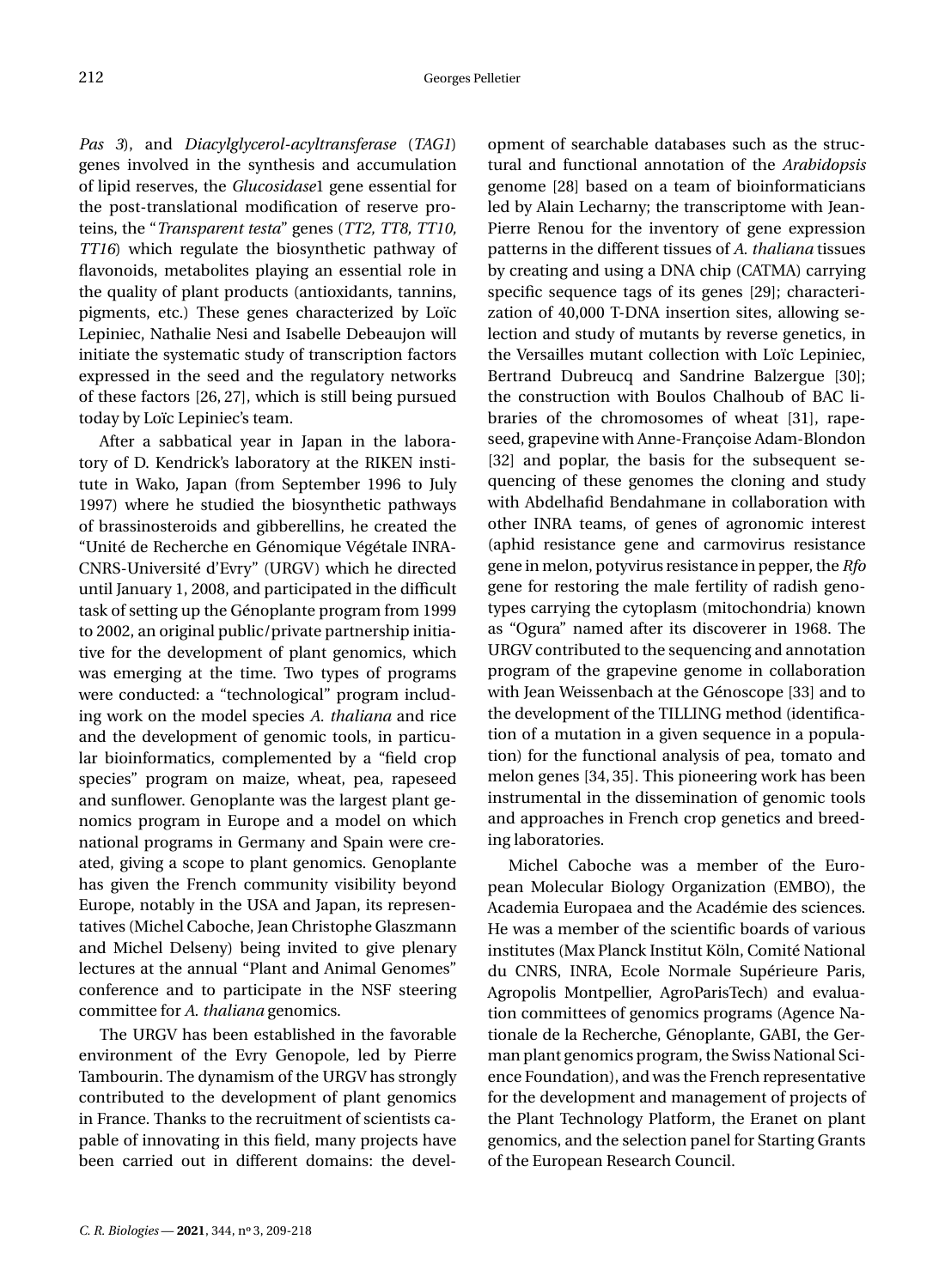*Pas 3*), and *Diacylglycerol-acyltransferase* (*TAG1*) genes involved in the synthesis and accumulation of lipid reserves, the *Glucosidase*1 gene essential for the post-translational modification of reserve proteins, the "*Transparent testa*" genes (*TT2, TT8, TT10, TT16*) which regulate the biosynthetic pathway of flavonoids, metabolites playing an essential role in the quality of plant products (antioxidants, tannins, pigments, etc.) These genes characterized by Loïc Lepiniec, Nathalie Nesi and Isabelle Debeaujon will initiate the systematic study of transcription factors expressed in the seed and the regulatory networks of these factors [\[26,](#page-9-17) [27\]](#page-9-18), which is still being pursued today by Loïc Lepiniec's team.

After a sabbatical year in Japan in the laboratory of D. Kendrick's laboratory at the RIKEN institute in Wako, Japan (from September 1996 to July 1997) where he studied the biosynthetic pathways of brassinosteroids and gibberellins, he created the "Unité de Recherche en Génomique Végétale INRA-CNRS-Université d'Evry" (URGV) which he directed until January 1, 2008, and participated in the difficult task of setting up the Génoplante program from 1999 to 2002, an original public/private partnership initiative for the development of plant genomics, which was emerging at the time. Two types of programs were conducted: a "technological" program including work on the model species *A. thaliana* and rice and the development of genomic tools, in particular bioinformatics, complemented by a "field crop species" program on maize, wheat, pea, rapeseed and sunflower. Genoplante was the largest plant genomics program in Europe and a model on which national programs in Germany and Spain were created, giving a scope to plant genomics. Genoplante has given the French community visibility beyond Europe, notably in the USA and Japan, its representatives (Michel Caboche, Jean Christophe Glaszmann and Michel Delseny) being invited to give plenary lectures at the annual "Plant and Animal Genomes" conference and to participate in the NSF steering committee for *A. thaliana* genomics.

The URGV has been established in the favorable environment of the Evry Genopole, led by Pierre Tambourin. The dynamism of the URGV has strongly contributed to the development of plant genomics in France. Thanks to the recruitment of scientists capable of innovating in this field, many projects have been carried out in different domains: the development of searchable databases such as the structural and functional annotation of the *Arabidopsis* genome [\[28\]](#page-9-19) based on a team of bioinformaticians led by Alain Lecharny; the transcriptome with Jean-Pierre Renou for the inventory of gene expression patterns in the different tissues of *A. thaliana* tissues by creating and using a DNA chip (CATMA) carrying specific sequence tags of its genes [\[29\]](#page-9-20); characterization of 40,000 T-DNA insertion sites, allowing selection and study of mutants by reverse genetics, in the Versailles mutant collection with Loïc Lepiniec, Bertrand Dubreucq and Sandrine Balzergue [\[30\]](#page-9-21); the construction with Boulos Chalhoub of BAC libraries of the chromosomes of wheat [\[31\]](#page-9-22), rapeseed, grapevine with Anne-Françoise Adam-Blondon [\[32\]](#page-9-23) and poplar, the basis for the subsequent sequencing of these genomes the cloning and study with Abdelhafid Bendahmane in collaboration with other INRA teams, of genes of agronomic interest (aphid resistance gene and carmovirus resistance gene in melon, potyvirus resistance in pepper, the *Rfo* gene for restoring the male fertility of radish genotypes carrying the cytoplasm (mitochondria) known as "Ogura" named after its discoverer in 1968. The URGV contributed to the sequencing and annotation program of the grapevine genome in collaboration with Jean Weissenbach at the Génoscope [\[33\]](#page-9-24) and to the development of the TILLING method (identification of a mutation in a given sequence in a population) for the functional analysis of pea, tomato and melon genes [\[34,](#page-10-0) [35\]](#page-10-1). This pioneering work has been instrumental in the dissemination of genomic tools and approaches in French crop genetics and breeding laboratories.

Michel Caboche was a member of the European Molecular Biology Organization (EMBO), the Academia Europaea and the Académie des sciences. He was a member of the scientific boards of various institutes (Max Planck Institut Köln, Comité National du CNRS, INRA, Ecole Normale Supérieure Paris, Agropolis Montpellier, AgroParisTech) and evaluation committees of genomics programs (Agence Nationale de la Recherche, Génoplante, GABI, the German plant genomics program, the Swiss National Science Foundation), and was the French representative for the development and management of projects of the Plant Technology Platform, the Eranet on plant genomics, and the selection panel for Starting Grants of the European Research Council.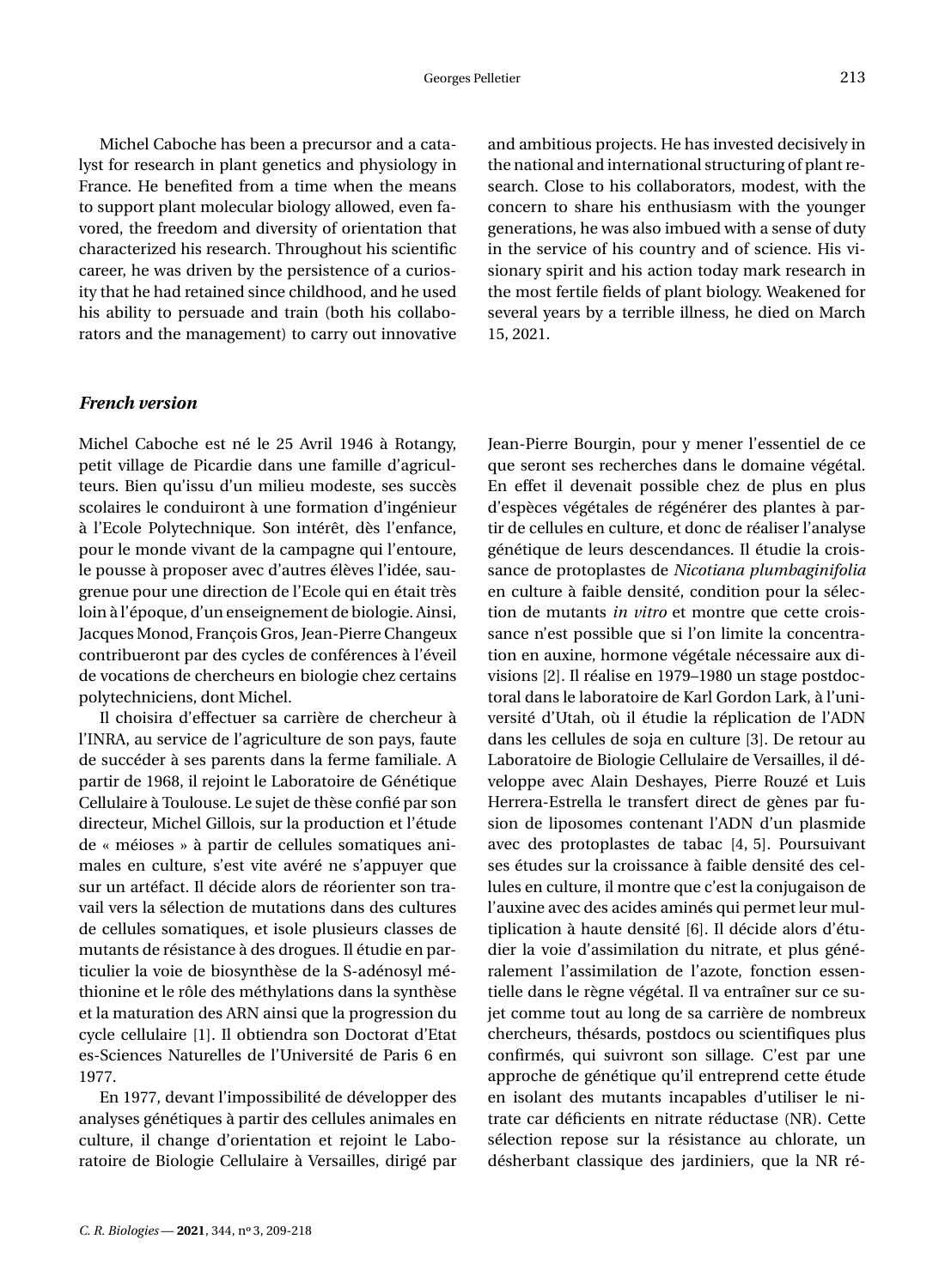Michel Caboche has been a precursor and a catalyst for research in plant genetics and physiology in France. He benefited from a time when the means to support plant molecular biology allowed, even favored, the freedom and diversity of orientation that characterized his research. Throughout his scientific career, he was driven by the persistence of a curiosity that he had retained since childhood, and he used his ability to persuade and train (both his collaborators and the management) to carry out innovative and ambitious projects. He has invested decisively in the national and international structuring of plant research. Close to his collaborators, modest, with the concern to share his enthusiasm with the younger generations, he was also imbued with a sense of duty in the service of his country and of science. His visionary spirit and his action today mark research in the most fertile fields of plant biology. Weakened for several years by a terrible illness, he died on March 15, 2021.

#### *French version*

Michel Caboche est né le 25 Avril 1946 à Rotangy, petit village de Picardie dans une famille d'agriculteurs. Bien qu'issu d'un milieu modeste, ses succès scolaires le conduiront à une formation d'ingénieur à l'Ecole Polytechnique. Son intérêt, dès l'enfance, pour le monde vivant de la campagne qui l'entoure, le pousse à proposer avec d'autres élèves l'idée, saugrenue pour une direction de l'Ecole qui en était très loin à l'époque, d'un enseignement de biologie. Ainsi, Jacques Monod, François Gros, Jean-Pierre Changeux contribueront par des cycles de conférences à l'éveil de vocations de chercheurs en biologie chez certains polytechniciens, dont Michel.

Il choisira d'effectuer sa carrière de chercheur à l'INRA, au service de l'agriculture de son pays, faute de succéder à ses parents dans la ferme familiale. A partir de 1968, il rejoint le Laboratoire de Génétique Cellulaire à Toulouse. Le sujet de thèse confié par son directeur, Michel Gillois, sur la production et l'étude de « méioses » à partir de cellules somatiques animales en culture, s'est vite avéré ne s'appuyer que sur un artéfact. Il décide alors de réorienter son travail vers la sélection de mutations dans des cultures de cellules somatiques, et isole plusieurs classes de mutants de résistance à des drogues. Il étudie en particulier la voie de biosynthèse de la S-adénosyl méthionine et le rôle des méthylations dans la synthèse et la maturation des ARN ainsi que la progression du cycle cellulaire [\[1\]](#page-8-0). Il obtiendra son Doctorat d'Etat es-Sciences Naturelles de l'Université de Paris 6 en 1977.

En 1977, devant l'impossibilité de développer des analyses génétiques à partir des cellules animales en culture, il change d'orientation et rejoint le Laboratoire de Biologie Cellulaire à Versailles, dirigé par Jean-Pierre Bourgin, pour y mener l'essentiel de ce que seront ses recherches dans le domaine végétal. En effet il devenait possible chez de plus en plus d'espèces végétales de régénérer des plantes à partir de cellules en culture, et donc de réaliser l'analyse génétique de leurs descendances. Il étudie la croissance de protoplastes de *Nicotiana plumbaginifolia* en culture à faible densité, condition pour la sélection de mutants *in vitro* et montre que cette croissance n'est possible que si l'on limite la concentration en auxine, hormone végétale nécessaire aux divisions [\[2\]](#page-8-1). Il réalise en 1979–1980 un stage postdoctoral dans le laboratoire de Karl Gordon Lark, à l'université d'Utah, où il étudie la réplication de l'ADN dans les cellules de soja en culture [\[3\]](#page-8-2). De retour au Laboratoire de Biologie Cellulaire de Versailles, il développe avec Alain Deshayes, Pierre Rouzé et Luis Herrera-Estrella le transfert direct de gènes par fusion de liposomes contenant l'ADN d'un plasmide avec des protoplastes de tabac [\[4,](#page-8-3) [5\]](#page-8-4). Poursuivant ses études sur la croissance à faible densité des cellules en culture, il montre que c'est la conjugaison de l'auxine avec des acides aminés qui permet leur multiplication à haute densité [\[6\]](#page-8-5). Il décide alors d'étudier la voie d'assimilation du nitrate, et plus généralement l'assimilation de l'azote, fonction essentielle dans le règne végétal. Il va entraîner sur ce sujet comme tout au long de sa carrière de nombreux chercheurs, thésards, postdocs ou scientifiques plus confirmés, qui suivront son sillage. C'est par une approche de génétique qu'il entreprend cette étude en isolant des mutants incapables d'utiliser le nitrate car déficients en nitrate réductase (NR). Cette sélection repose sur la résistance au chlorate, un désherbant classique des jardiniers, que la NR ré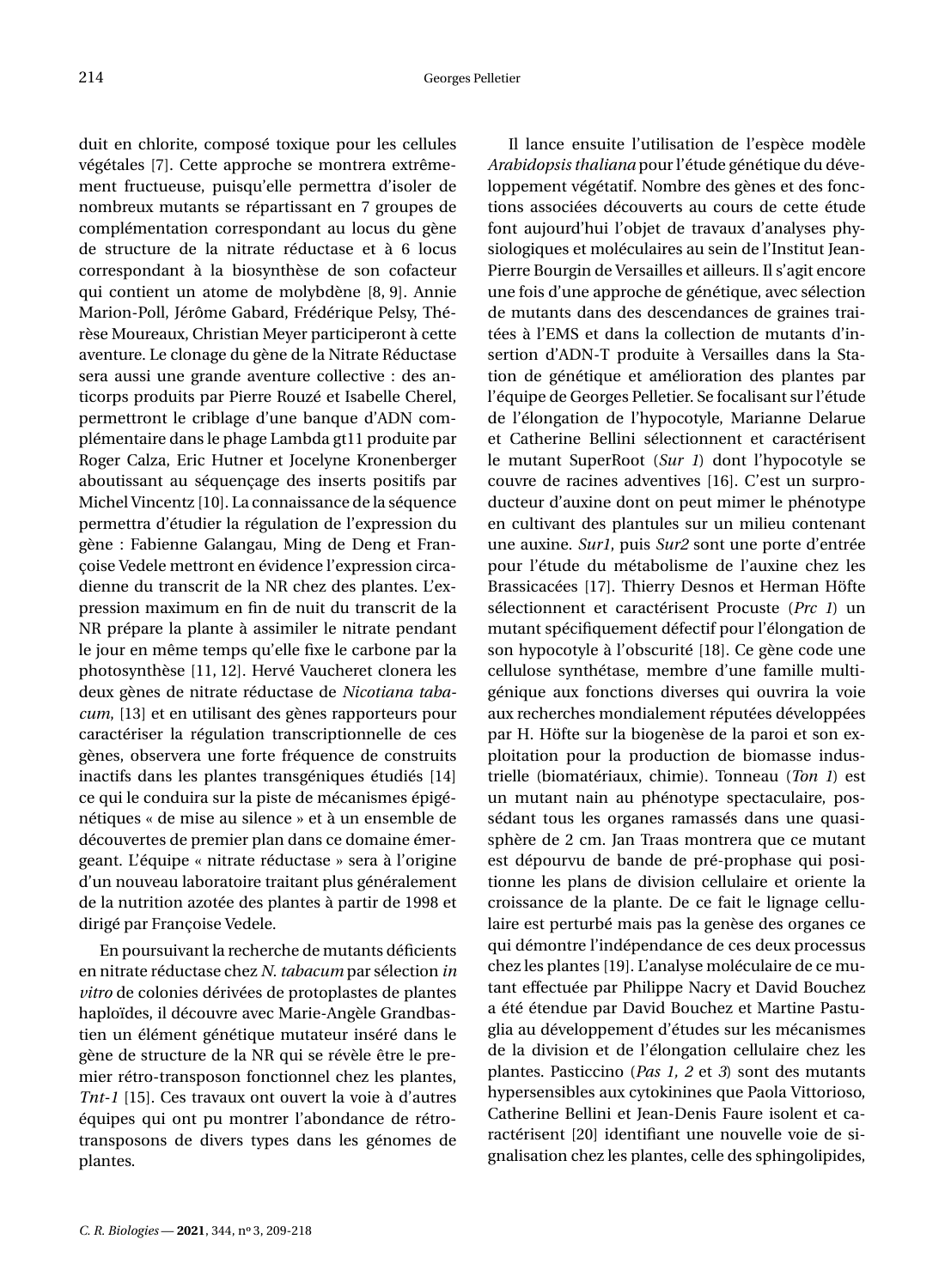duit en chlorite, composé toxique pour les cellules végétales [\[7\]](#page-8-6). Cette approche se montrera extrêmement fructueuse, puisqu'elle permettra d'isoler de nombreux mutants se répartissant en 7 groupes de complémentation correspondant au locus du gène de structure de la nitrate réductase et à 6 locus correspondant à la biosynthèse de son cofacteur qui contient un atome de molybdène [\[8,](#page-8-7) [9\]](#page-9-0). Annie Marion-Poll, Jérôme Gabard, Frédérique Pelsy, Thérèse Moureaux, Christian Meyer participeront à cette aventure. Le clonage du gène de la Nitrate Réductase sera aussi une grande aventure collective : des anticorps produits par Pierre Rouzé et Isabelle Cherel, permettront le criblage d'une banque d'ADN complémentaire dans le phage Lambda gt11 produite par Roger Calza, Eric Hutner et Jocelyne Kronenberger aboutissant au séquençage des inserts positifs par Michel Vincentz [\[10\]](#page-9-1). La connaissance de la séquence permettra d'étudier la régulation de l'expression du gène : Fabienne Galangau, Ming de Deng et Françoise Vedele mettront en évidence l'expression circadienne du transcrit de la NR chez des plantes. L'expression maximum en fin de nuit du transcrit de la NR prépare la plante à assimiler le nitrate pendant le jour en même temps qu'elle fixe le carbone par la photosynthèse [\[11,](#page-9-2) [12\]](#page-9-3). Hervé Vaucheret clonera les deux gènes de nitrate réductase de *Nicotiana tabacum*, [\[13\]](#page-9-4) et en utilisant des gènes rapporteurs pour caractériser la régulation transcriptionnelle de ces gènes, observera une forte fréquence de construits inactifs dans les plantes transgéniques étudiés [\[14\]](#page-9-5) ce qui le conduira sur la piste de mécanismes épigénétiques « de mise au silence » et à un ensemble de découvertes de premier plan dans ce domaine émergeant. L'équipe « nitrate réductase » sera à l'origine d'un nouveau laboratoire traitant plus généralement de la nutrition azotée des plantes à partir de 1998 et dirigé par Françoise Vedele.

En poursuivant la recherche de mutants déficients en nitrate réductase chez *N. tabacum* par sélection *in vitro* de colonies dérivées de protoplastes de plantes haploïdes, il découvre avec Marie-Angèle Grandbastien un élément génétique mutateur inséré dans le gène de structure de la NR qui se révèle être le premier rétro-transposon fonctionnel chez les plantes, *Tnt-1* [\[15\]](#page-9-6). Ces travaux ont ouvert la voie à d'autres équipes qui ont pu montrer l'abondance de rétrotransposons de divers types dans les génomes de plantes.

Il lance ensuite l'utilisation de l'espèce modèle *Arabidopsis thaliana* pour l'étude génétique du développement végétatif. Nombre des gènes et des fonctions associées découverts au cours de cette étude font aujourd'hui l'objet de travaux d'analyses physiologiques et moléculaires au sein de l'Institut Jean-Pierre Bourgin de Versailles et ailleurs. Il s'agit encore une fois d'une approche de génétique, avec sélection de mutants dans des descendances de graines traitées à l'EMS et dans la collection de mutants d'insertion d'ADN-T produite à Versailles dans la Station de génétique et amélioration des plantes par l'équipe de Georges Pelletier. Se focalisant sur l'étude de l'élongation de l'hypocotyle, Marianne Delarue et Catherine Bellini sélectionnent et caractérisent le mutant SuperRoot (*Sur 1*) dont l'hypocotyle se couvre de racines adventives [\[16\]](#page-9-7). C'est un surproducteur d'auxine dont on peut mimer le phénotype en cultivant des plantules sur un milieu contenant une auxine. *Sur1*, puis *Sur2* sont une porte d'entrée pour l'étude du métabolisme de l'auxine chez les Brassicacées [\[17\]](#page-9-8). Thierry Desnos et Herman Höfte sélectionnent et caractérisent Procuste (*Prc 1*) un mutant spécifiquement défectif pour l'élongation de son hypocotyle à l'obscurité [\[18\]](#page-9-9). Ce gène code une cellulose synthétase, membre d'une famille multigénique aux fonctions diverses qui ouvrira la voie aux recherches mondialement réputées développées par H. Höfte sur la biogenèse de la paroi et son exploitation pour la production de biomasse industrielle (biomatériaux, chimie). Tonneau (*Ton 1*) est un mutant nain au phénotype spectaculaire, possédant tous les organes ramassés dans une quasisphère de 2 cm. Jan Traas montrera que ce mutant est dépourvu de bande de pré-prophase qui positionne les plans de division cellulaire et oriente la croissance de la plante. De ce fait le lignage cellulaire est perturbé mais pas la genèse des organes ce qui démontre l'indépendance de ces deux processus chez les plantes [\[19\]](#page-9-10). L'analyse moléculaire de ce mutant effectuée par Philippe Nacry et David Bouchez a été étendue par David Bouchez et Martine Pastuglia au développement d'études sur les mécanismes de la division et de l'élongation cellulaire chez les plantes. Pasticcino (*Pas 1, 2* et *3*) sont des mutants hypersensibles aux cytokinines que Paola Vittorioso, Catherine Bellini et Jean-Denis Faure isolent et caractérisent [\[20\]](#page-9-11) identifiant une nouvelle voie de signalisation chez les plantes, celle des sphingolipides,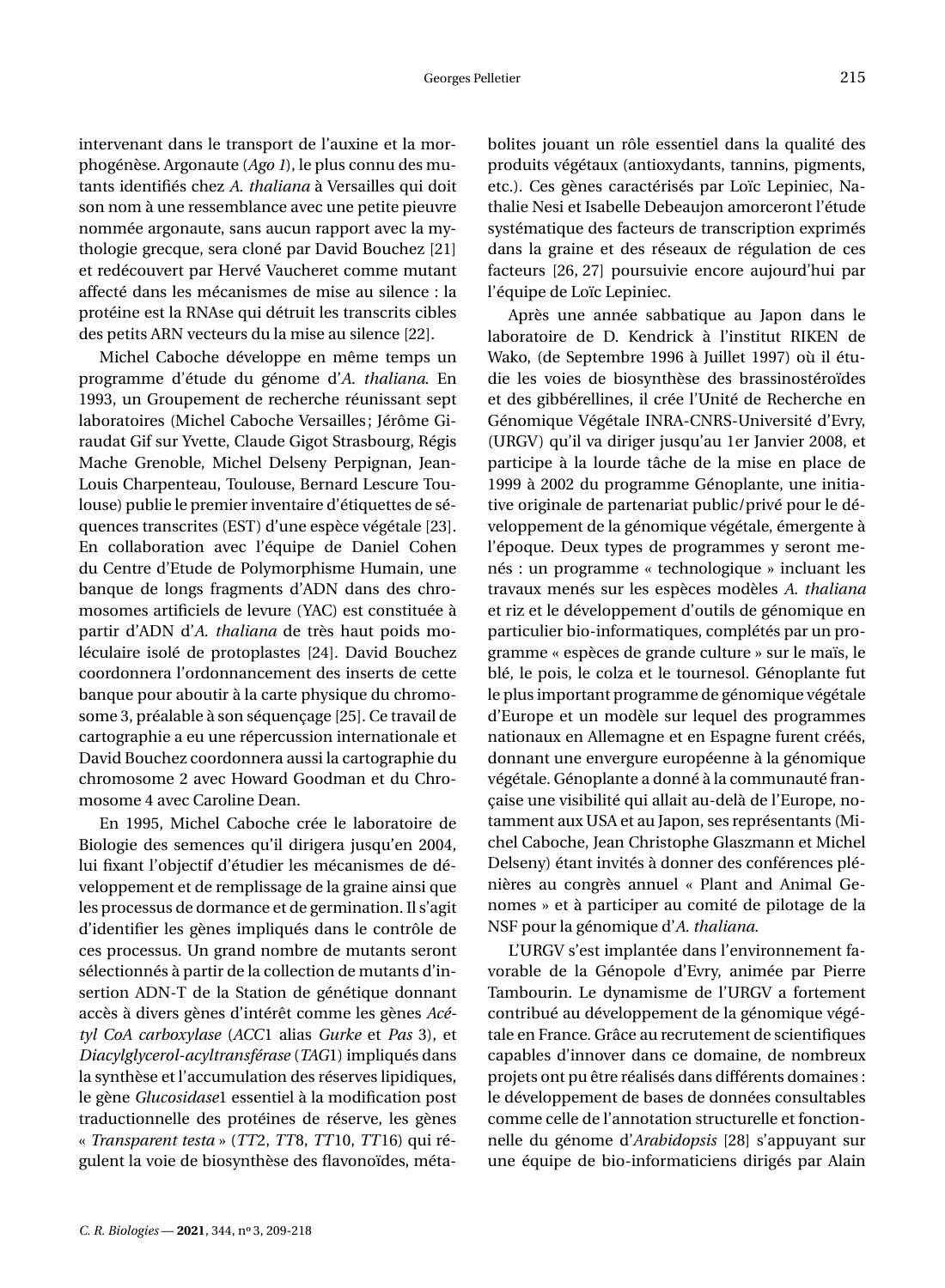intervenant dans le transport de l'auxine et la morphogénèse. Argonaute (*Ago 1*), le plus connu des mutants identifiés chez *A. thaliana* à Versailles qui doit son nom à une ressemblance avec une petite pieuvre nommée argonaute, sans aucun rapport avec la mythologie grecque, sera cloné par David Bouchez [\[21\]](#page-9-12) et redécouvert par Hervé Vaucheret comme mutant affecté dans les mécanismes de mise au silence : la protéine est la RNAse qui détruit les transcrits cibles des petits ARN vecteurs du la mise au silence [\[22\]](#page-9-13).

Michel Caboche développe en même temps un programme d'étude du génome d'*A. thaliana*. En 1993, un Groupement de recherche réunissant sept laboratoires (Michel Caboche Versailles; Jérôme Giraudat Gif sur Yvette, Claude Gigot Strasbourg, Régis Mache Grenoble, Michel Delseny Perpignan, Jean-Louis Charpenteau, Toulouse, Bernard Lescure Toulouse) publie le premier inventaire d'étiquettes de séquences transcrites (EST) d'une espèce végétale [\[23\]](#page-9-14). En collaboration avec l'équipe de Daniel Cohen du Centre d'Etude de Polymorphisme Humain, une banque de longs fragments d'ADN dans des chromosomes artificiels de levure (YAC) est constituée à partir d'ADN d'*A. thaliana* de très haut poids moléculaire isolé de protoplastes [\[24\]](#page-9-15). David Bouchez coordonnera l'ordonnancement des inserts de cette banque pour aboutir à la carte physique du chromosome 3, préalable à son séquençage [\[25\]](#page-9-16). Ce travail de cartographie a eu une répercussion internationale et David Bouchez coordonnera aussi la cartographie du chromosome 2 avec Howard Goodman et du Chromosome 4 avec Caroline Dean.

En 1995, Michel Caboche crée le laboratoire de Biologie des semences qu'il dirigera jusqu'en 2004, lui fixant l'objectif d'étudier les mécanismes de développement et de remplissage de la graine ainsi que les processus de dormance et de germination. Il s'agit d'identifier les gènes impliqués dans le contrôle de ces processus. Un grand nombre de mutants seront sélectionnés à partir de la collection de mutants d'insertion ADN-T de la Station de génétique donnant accès à divers gènes d'intérêt comme les gènes *Acétyl CoA carboxylase* (*ACC*1 alias *Gurke* et *Pas* 3), et *Diacylglycerol-acyltransférase* (*TAG*1) impliqués dans la synthèse et l'accumulation des réserves lipidiques, le gène *Glucosidase*1 essentiel à la modification post traductionnelle des protéines de réserve, les gènes « *Transparent testa* » (*TT*2, *TT*8, *TT*10, *TT*16) qui régulent la voie de biosynthèse des flavonoïdes, métabolites jouant un rôle essentiel dans la qualité des produits végétaux (antioxydants, tannins, pigments, etc.). Ces gènes caractérisés par Loïc Lepiniec, Nathalie Nesi et Isabelle Debeaujon amorceront l'étude systématique des facteurs de transcription exprimés dans la graine et des réseaux de régulation de ces facteurs [\[26,](#page-9-17) [27\]](#page-9-18) poursuivie encore aujourd'hui par l'équipe de Loïc Lepiniec.

Après une année sabbatique au Japon dans le laboratoire de D. Kendrick à l'institut RIKEN de Wako, (de Septembre 1996 à Juillet 1997) où il étudie les voies de biosynthèse des brassinostéroïdes et des gibbérellines, il crée l'Unité de Recherche en Génomique Végétale INRA-CNRS-Université d'Evry, (URGV) qu'il va diriger jusqu'au 1er Janvier 2008, et participe à la lourde tâche de la mise en place de 1999 à 2002 du programme Génoplante, une initiative originale de partenariat public/privé pour le développement de la génomique végétale, émergente à l'époque. Deux types de programmes y seront menés : un programme « technologique » incluant les travaux menés sur les espèces modèles *A. thaliana* et riz et le développement d'outils de génomique en particulier bio-informatiques, complétés par un programme « espèces de grande culture » sur le maïs, le blé, le pois, le colza et le tournesol. Génoplante fut le plus important programme de génomique végétale d'Europe et un modèle sur lequel des programmes nationaux en Allemagne et en Espagne furent créés, donnant une envergure européenne à la génomique végétale. Génoplante a donné à la communauté française une visibilité qui allait au-delà de l'Europe, notamment aux USA et au Japon, ses représentants (Michel Caboche, Jean Christophe Glaszmann et Michel Delseny) étant invités à donner des conférences plénières au congrès annuel « Plant and Animal Genomes » et à participer au comité de pilotage de la NSF pour la génomique d'*A. thaliana*.

L'URGV s'est implantée dans l'environnement favorable de la Génopole d'Evry, animée par Pierre Tambourin. Le dynamisme de l'URGV a fortement contribué au développement de la génomique végétale en France. Grâce au recrutement de scientifiques capables d'innover dans ce domaine, de nombreux projets ont pu être réalisés dans différents domaines : le développement de bases de données consultables comme celle de l'annotation structurelle et fonctionnelle du génome d'*Arabidopsis* [\[28\]](#page-9-19) s'appuyant sur une équipe de bio-informaticiens dirigés par Alain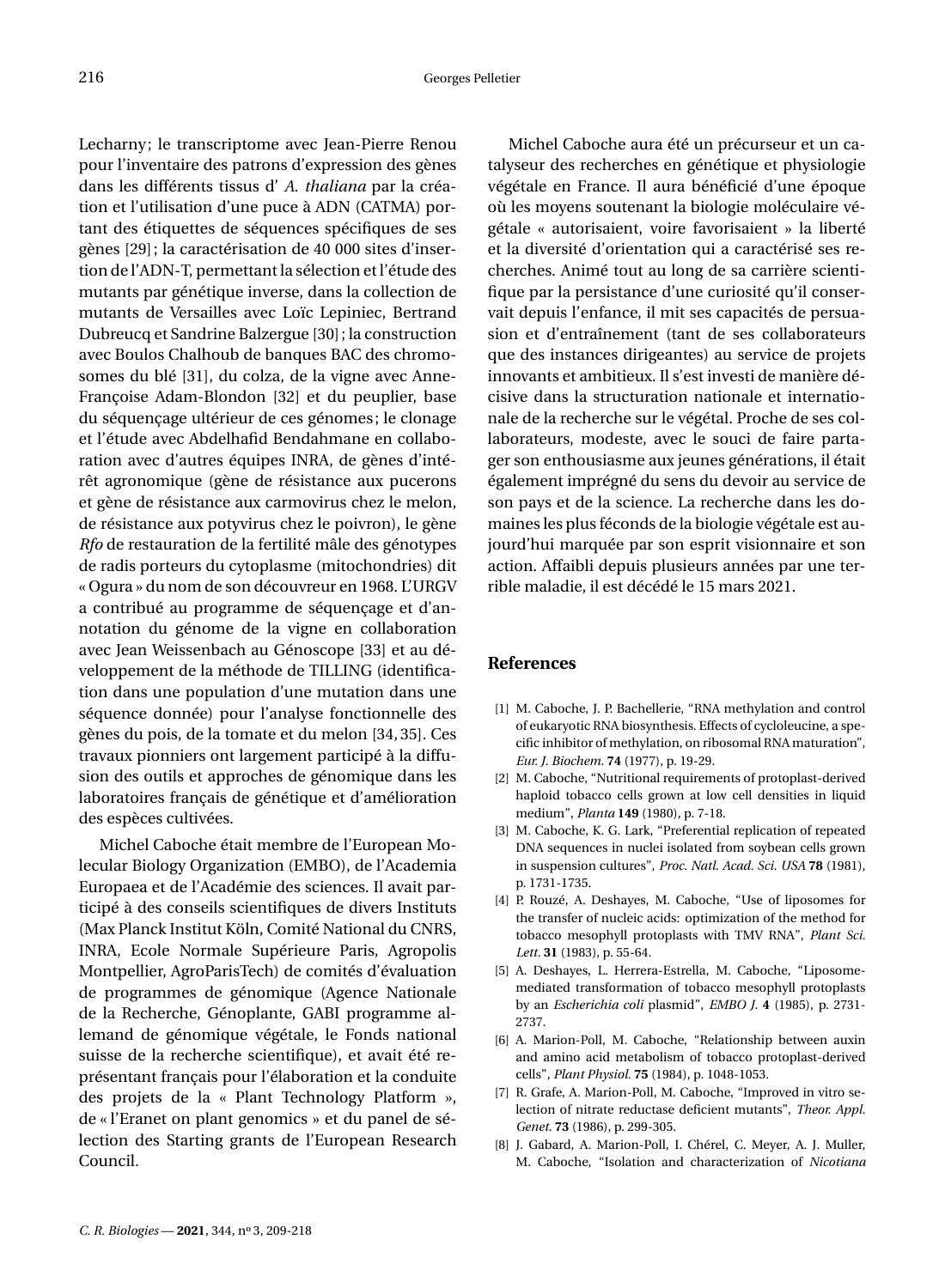Lecharny; le transcriptome avec Jean-Pierre Renou pour l'inventaire des patrons d'expression des gènes dans les différents tissus d' *A. thaliana* par la création et l'utilisation d'une puce à ADN (CATMA) portant des étiquettes de séquences spécifiques de ses gènes [\[29\]](#page-9-20); la caractérisation de 40 000 sites d'insertion de l'ADN-T, permettant la sélection et l'étude des mutants par génétique inverse, dans la collection de mutants de Versailles avec Loïc Lepiniec, Bertrand Dubreucq et Sandrine Balzergue [\[30\]](#page-9-21); la construction avec Boulos Chalhoub de banques BAC des chromosomes du blé [\[31\]](#page-9-22), du colza, de la vigne avec Anne-Françoise Adam-Blondon [\[32\]](#page-9-23) et du peuplier, base du séquençage ultérieur de ces génomes; le clonage et l'étude avec Abdelhafid Bendahmane en collaboration avec d'autres équipes INRA, de gènes d'intérêt agronomique (gène de résistance aux pucerons et gène de résistance aux carmovirus chez le melon, de résistance aux potyvirus chez le poivron), le gène *Rfo* de restauration de la fertilité mâle des génotypes de radis porteurs du cytoplasme (mitochondries) dit « Ogura » du nom de son découvreur en 1968. L'URGV a contribué au programme de séquençage et d'annotation du génome de la vigne en collaboration avec Jean Weissenbach au Génoscope [\[33\]](#page-9-24) et au développement de la méthode de TILLING (identification dans une population d'une mutation dans une séquence donnée) pour l'analyse fonctionnelle des gènes du pois, de la tomate et du melon [\[34,](#page-10-0) [35\]](#page-10-1). Ces travaux pionniers ont largement participé à la diffusion des outils et approches de génomique dans les laboratoires français de génétique et d'amélioration des espèces cultivées.

Michel Caboche était membre de l'European Molecular Biology Organization (EMBO), de l'Academia Europaea et de l'Académie des sciences. Il avait participé à des conseils scientifiques de divers Instituts (Max Planck Institut Köln, Comité National du CNRS, INRA, Ecole Normale Supérieure Paris, Agropolis Montpellier, AgroParisTech) de comités d'évaluation de programmes de génomique (Agence Nationale de la Recherche, Génoplante, GABI programme allemand de génomique végétale, le Fonds national suisse de la recherche scientifique), et avait été représentant français pour l'élaboration et la conduite des projets de la « Plant Technology Platform », de « l'Eranet on plant genomics » et du panel de sélection des Starting grants de l'European Research Council.

Michel Caboche aura été un précurseur et un catalyseur des recherches en génétique et physiologie végétale en France. Il aura bénéficié d'une époque où les moyens soutenant la biologie moléculaire végétale « autorisaient, voire favorisaient » la liberté et la diversité d'orientation qui a caractérisé ses recherches. Animé tout au long de sa carrière scientifique par la persistance d'une curiosité qu'il conservait depuis l'enfance, il mit ses capacités de persuasion et d'entraînement (tant de ses collaborateurs que des instances dirigeantes) au service de projets innovants et ambitieux. Il s'est investi de manière décisive dans la structuration nationale et internationale de la recherche sur le végétal. Proche de ses collaborateurs, modeste, avec le souci de faire partager son enthousiasme aux jeunes générations, il était également imprégné du sens du devoir au service de son pays et de la science. La recherche dans les domaines les plus féconds de la biologie végétale est aujourd'hui marquée par son esprit visionnaire et son action. Affaibli depuis plusieurs années par une terrible maladie, il est décédé le 15 mars 2021.

### **References**

- <span id="page-8-0"></span>[1] M. Caboche, J. P. Bachellerie, "RNA methylation and control of eukaryotic RNA biosynthesis. Effects of cycloleucine, a specific inhibitor of methylation, on ribosomal RNA maturation", *Eur. J. Biochem.* **74** (1977), p. 19-29.
- <span id="page-8-1"></span>[2] M. Caboche, "Nutritional requirements of protoplast-derived haploid tobacco cells grown at low cell densities in liquid medium", *Planta* **149** (1980), p. 7-18.
- <span id="page-8-2"></span>[3] M. Caboche, K. G. Lark, "Preferential replication of repeated DNA sequences in nuclei isolated from soybean cells grown in suspension cultures", *Proc. Natl. Acad. Sci. USA* **78** (1981), p. 1731-1735.
- <span id="page-8-3"></span>[4] P. Rouzé, A. Deshayes, M. Caboche, "Use of liposomes for the transfer of nucleic acids: optimization of the method for tobacco mesophyll protoplasts with TMV RNA", *Plant Sci. Lett.* **31** (1983), p. 55-64.
- <span id="page-8-4"></span>[5] A. Deshayes, L. Herrera-Estrella, M. Caboche, "Liposomemediated transformation of tobacco mesophyll protoplasts by an *Escherichia coli* plasmid", *EMBO J.* **4** (1985), p. 2731- 2737.
- <span id="page-8-5"></span>[6] A. Marion-Poll, M. Caboche, "Relationship between auxin and amino acid metabolism of tobacco protoplast-derived cells", *Plant Physiol.* **75** (1984), p. 1048-1053.
- <span id="page-8-6"></span>[7] R. Grafe, A. Marion-Poll, M. Caboche, "Improved in vitro selection of nitrate reductase deficient mutants", *Theor. Appl. Genet.* **73** (1986), p. 299-305.
- <span id="page-8-7"></span>[8] J. Gabard, A. Marion-Poll, I. Chérel, C. Meyer, A. J. Muller, M. Caboche, "Isolation and characterization of *Nicotiana*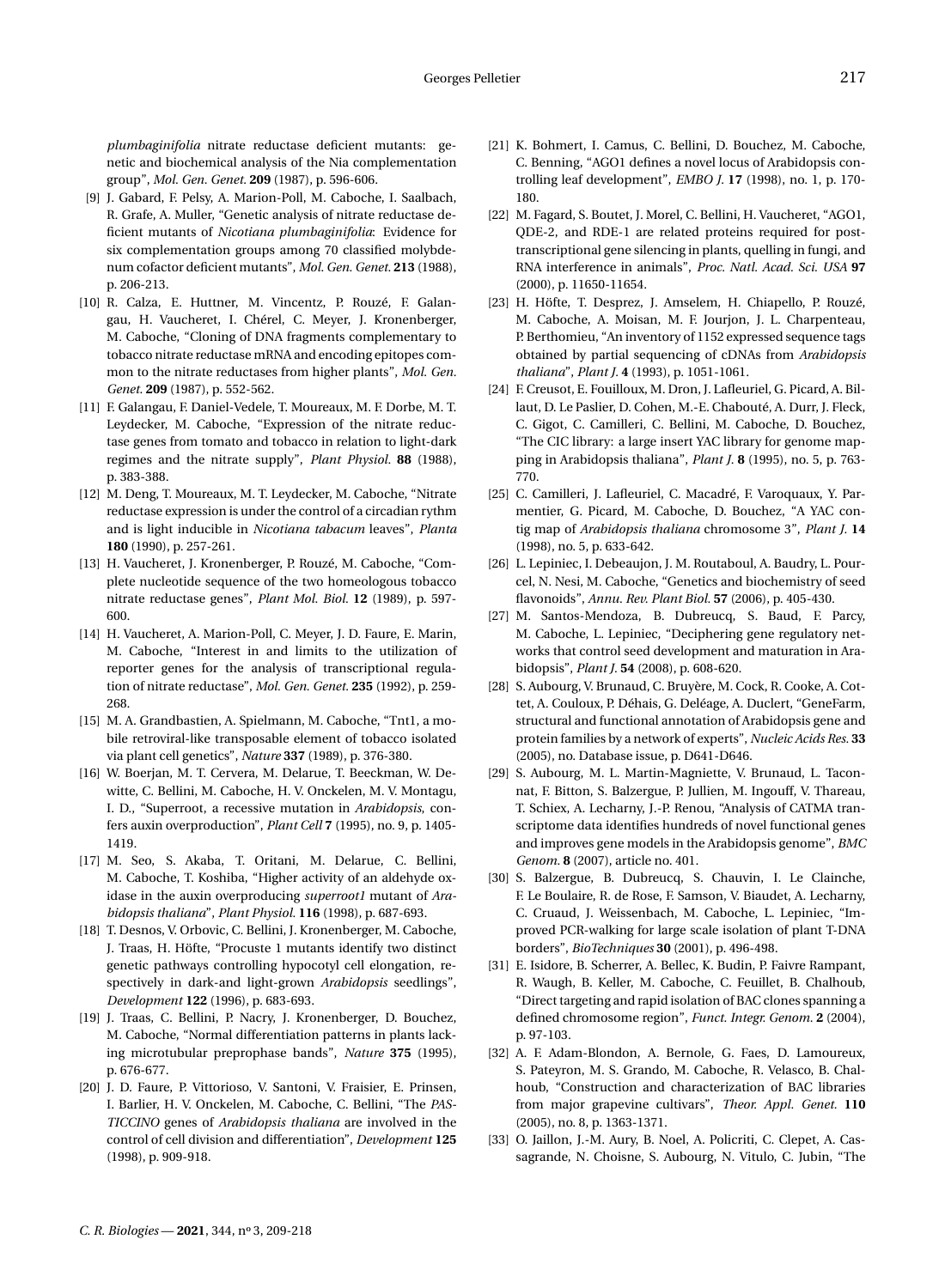*plumbaginifolia* nitrate reductase deficient mutants: genetic and biochemical analysis of the Nia complementation group", *Mol. Gen. Genet.* **209** (1987), p. 596-606.

- <span id="page-9-0"></span>[9] J. Gabard, F. Pelsy, A. Marion-Poll, M. Caboche, I. Saalbach, R. Grafe, A. Muller, "Genetic analysis of nitrate reductase deficient mutants of *Nicotiana plumbaginifolia*: Evidence for six complementation groups among 70 classified molybdenum cofactor deficient mutants", *Mol. Gen. Genet.* **213** (1988), p. 206-213.
- <span id="page-9-1"></span>[10] R. Calza, E. Huttner, M. Vincentz, P. Rouzé, F. Galangau, H. Vaucheret, I. Chérel, C. Meyer, J. Kronenberger, M. Caboche, "Cloning of DNA fragments complementary to tobacco nitrate reductase mRNA and encoding epitopes common to the nitrate reductases from higher plants", *Mol. Gen. Genet.* **209** (1987), p. 552-562.
- <span id="page-9-2"></span>[11] F. Galangau, F. Daniel-Vedele, T. Moureaux, M. F. Dorbe, M. T. Leydecker, M. Caboche, "Expression of the nitrate reductase genes from tomato and tobacco in relation to light-dark regimes and the nitrate supply", *Plant Physiol.* **88** (1988), p. 383-388.
- <span id="page-9-3"></span>[12] M. Deng, T. Moureaux, M. T. Leydecker, M. Caboche, "Nitrate reductase expression is under the control of a circadian rythm and is light inducible in *Nicotiana tabacum* leaves", *Planta* **180** (1990), p. 257-261.
- <span id="page-9-4"></span>[13] H. Vaucheret, J. Kronenberger, P. Rouzé, M. Caboche, "Complete nucleotide sequence of the two homeologous tobacco nitrate reductase genes", *Plant Mol. Biol.* **12** (1989), p. 597- 600.
- <span id="page-9-5"></span>[14] H. Vaucheret, A. Marion-Poll, C. Meyer, J. D. Faure, E. Marin, M. Caboche, "Interest in and limits to the utilization of reporter genes for the analysis of transcriptional regulation of nitrate reductase", *Mol. Gen. Genet.* **235** (1992), p. 259- 268.
- <span id="page-9-6"></span>[15] M. A. Grandbastien, A. Spielmann, M. Caboche, "Tnt1, a mobile retroviral-like transposable element of tobacco isolated via plant cell genetics", *Nature* **337** (1989), p. 376-380.
- <span id="page-9-7"></span>[16] W. Boerjan, M. T. Cervera, M. Delarue, T. Beeckman, W. Dewitte, C. Bellini, M. Caboche, H. V. Onckelen, M. V. Montagu, I. D., "Superroot, a recessive mutation in *Arabidopsis*, confers auxin overproduction", *Plant Cell* **7** (1995), no. 9, p. 1405- 1419.
- <span id="page-9-8"></span>[17] M. Seo, S. Akaba, T. Oritani, M. Delarue, C. Bellini, M. Caboche, T. Koshiba, "Higher activity of an aldehyde oxidase in the auxin overproducing *superroot1* mutant of *Arabidopsis thaliana*", *Plant Physiol.* **116** (1998), p. 687-693.
- <span id="page-9-9"></span>[18] T. Desnos, V. Orbovic, C. Bellini, J. Kronenberger, M. Caboche, J. Traas, H. Höfte, "Procuste 1 mutants identify two distinct genetic pathways controlling hypocotyl cell elongation, respectively in dark-and light-grown *Arabidopsis* seedlings", *Development* **122** (1996), p. 683-693.
- <span id="page-9-10"></span>[19] J. Traas, C. Bellini, P. Nacry, J. Kronenberger, D. Bouchez, M. Caboche, "Normal differentiation patterns in plants lacking microtubular preprophase bands", *Nature* **375** (1995), p. 676-677.
- <span id="page-9-11"></span>[20] J. D. Faure, P. Vittorioso, V. Santoni, V. Fraisier, E. Prinsen, I. Barlier, H. V. Onckelen, M. Caboche, C. Bellini, "The *PAS-TICCINO* genes of *Arabidopsis thaliana* are involved in the control of cell division and differentiation", *Development* **125** (1998), p. 909-918.
- <span id="page-9-12"></span>[21] K. Bohmert, I. Camus, C. Bellini, D. Bouchez, M. Caboche, C. Benning, "AGO1 defines a novel locus of Arabidopsis controlling leaf development", *EMBO J.* **17** (1998), no. 1, p. 170- 180.
- <span id="page-9-13"></span>[22] M. Fagard, S. Boutet, J. Morel, C. Bellini, H. Vaucheret, "AGO1, QDE-2, and RDE-1 are related proteins required for posttranscriptional gene silencing in plants, quelling in fungi, and RNA interference in animals", *Proc. Natl. Acad. Sci. USA* **97** (2000), p. 11650-11654.
- <span id="page-9-14"></span>[23] H. Höfte, T. Desprez, J. Amselem, H. Chiapello, P. Rouzé, M. Caboche, A. Moisan, M. F. Jourjon, J. L. Charpenteau, P. Berthomieu, "An inventory of 1152 expressed sequence tags obtained by partial sequencing of cDNAs from *Arabidopsis thaliana*", *Plant J.* **4** (1993), p. 1051-1061.
- <span id="page-9-15"></span>[24] F. Creusot, E. Fouilloux, M. Dron, J. Lafleuriel, G. Picard, A. Billaut, D. Le Paslier, D. Cohen, M.-E. Chabouté, A. Durr, J. Fleck, C. Gigot, C. Camilleri, C. Bellini, M. Caboche, D. Bouchez, "The CIC library: a large insert YAC library for genome mapping in Arabidopsis thaliana", *Plant J.* **8** (1995), no. 5, p. 763- 770.
- <span id="page-9-16"></span>[25] C. Camilleri, J. Lafleuriel, C. Macadré, F. Varoquaux, Y. Parmentier, G. Picard, M. Caboche, D. Bouchez, "A YAC contig map of *Arabidopsis thaliana* chromosome 3", *Plant J.* **14** (1998), no. 5, p. 633-642.
- <span id="page-9-17"></span>[26] L. Lepiniec, I. Debeaujon, J. M. Routaboul, A. Baudry, L. Pourcel, N. Nesi, M. Caboche, "Genetics and biochemistry of seed flavonoids", *Annu. Rev. Plant Biol.* **57** (2006), p. 405-430.
- <span id="page-9-18"></span>[27] M. Santos-Mendoza, B. Dubreucq, S. Baud, F. Parcy, M. Caboche, L. Lepiniec, "Deciphering gene regulatory networks that control seed development and maturation in Arabidopsis", *Plant J.* **54** (2008), p. 608-620.
- <span id="page-9-19"></span>[28] S. Aubourg, V. Brunaud, C. Bruyère, M. Cock, R. Cooke, A. Cottet, A. Couloux, P. Déhais, G. Deléage, A. Duclert, "GeneFarm, structural and functional annotation of Arabidopsis gene and protein families by a network of experts", *Nucleic Acids Res.* **33** (2005), no. Database issue, p. D641-D646.
- <span id="page-9-20"></span>[29] S. Aubourg, M. L. Martin-Magniette, V. Brunaud, L. Taconnat, F. Bitton, S. Balzergue, P. Jullien, M. Ingouff, V. Thareau, T. Schiex, A. Lecharny, J.-P. Renou, "Analysis of CATMA transcriptome data identifies hundreds of novel functional genes and improves gene models in the Arabidopsis genome", *BMC Genom.* **8** (2007), article no. 401.
- <span id="page-9-21"></span>[30] S. Balzergue, B. Dubreucq, S. Chauvin, I. Le Clainche, F. Le Boulaire, R. de Rose, F. Samson, V. Biaudet, A. Lecharny, C. Cruaud, J. Weissenbach, M. Caboche, L. Lepiniec, "Improved PCR-walking for large scale isolation of plant T-DNA borders", *BioTechniques* **30** (2001), p. 496-498.
- <span id="page-9-22"></span>[31] E. Isidore, B. Scherrer, A. Bellec, K. Budin, P. Faivre Rampant, R. Waugh, B. Keller, M. Caboche, C. Feuillet, B. Chalhoub, "Direct targeting and rapid isolation of BAC clones spanning a defined chromosome region", *Funct. Integr. Genom.* **2** (2004), p. 97-103.
- <span id="page-9-23"></span>[32] A. F. Adam-Blondon, A. Bernole, G. Faes, D. Lamoureux, S. Pateyron, M. S. Grando, M. Caboche, R. Velasco, B. Chalhoub, "Construction and characterization of BAC libraries from major grapevine cultivars", *Theor. Appl. Genet.* **110** (2005), no. 8, p. 1363-1371.
- <span id="page-9-24"></span>[33] O. Jaillon, J.-M. Aury, B. Noel, A. Policriti, C. Clepet, A. Cassagrande, N. Choisne, S. Aubourg, N. Vitulo, C. Jubin, "The